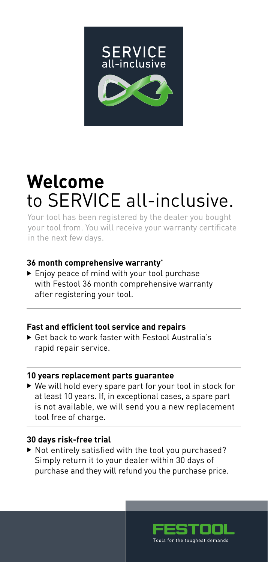

## **Welcome**  to SERVICE all-inclusive.

 Your tool has been registered by the dealer you bought your tool from. You will receive your warranty certificate in the next few days.

#### **36 month comprehensive warranty**\*

▶ Enjoy peace of mind with your tool purchase with Festool 36 month comprehensive warranty after registering your tool.

#### **Fast and efficient tool service and repairs**

 Get back to work faster with Festool Australia's rapid repair service.

#### **10 years replacement parts guarantee**

 We will hold every spare part for your tool in stock for at least 10 years. If, in exceptional cases, a spare part is not available, we will send you a new replacement tool free of charge.

#### **30 days risk-free trial**

 $\blacktriangleright$  Not entirely satisfied with the tool you purchased? Simply return it to your dealer within 30 days of purchase and they will refund you the purchase price.